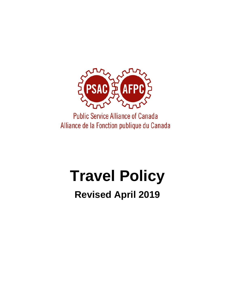

**Public Service Alliance of Canada** Alliance de la Fonction publique du Canada

# **Travel Policy**

# **Revised April 2019**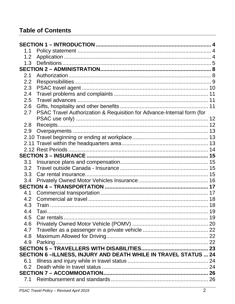# **Table of Contents**

| 1.1                                                            |                                                                        |  |  |
|----------------------------------------------------------------|------------------------------------------------------------------------|--|--|
| 1.2                                                            |                                                                        |  |  |
| 1.3                                                            |                                                                        |  |  |
|                                                                |                                                                        |  |  |
| 2.1                                                            |                                                                        |  |  |
| 2.2                                                            |                                                                        |  |  |
| 2.3                                                            |                                                                        |  |  |
| 2.4                                                            |                                                                        |  |  |
| 2.5                                                            |                                                                        |  |  |
| 2.6                                                            |                                                                        |  |  |
| 2.7                                                            | PSAC Travel Authorization & Requisition for Advance-Internal form (for |  |  |
|                                                                |                                                                        |  |  |
| 2.8                                                            |                                                                        |  |  |
| 2.9                                                            |                                                                        |  |  |
|                                                                |                                                                        |  |  |
|                                                                |                                                                        |  |  |
|                                                                |                                                                        |  |  |
|                                                                |                                                                        |  |  |
| 3.1                                                            |                                                                        |  |  |
| 3.2                                                            |                                                                        |  |  |
| 3.3                                                            |                                                                        |  |  |
| 3.4                                                            |                                                                        |  |  |
|                                                                |                                                                        |  |  |
| 4.1                                                            |                                                                        |  |  |
| 4.2                                                            |                                                                        |  |  |
| 4.3                                                            |                                                                        |  |  |
| 4.4                                                            | Taxi                                                                   |  |  |
| 4.5                                                            |                                                                        |  |  |
| 4.6                                                            |                                                                        |  |  |
| 4.7                                                            |                                                                        |  |  |
| 4.8                                                            |                                                                        |  |  |
| 4.9                                                            |                                                                        |  |  |
|                                                                |                                                                        |  |  |
| SECTION 6-ILLNESS, INJURY AND DEATH WHILE IN TRAVEL STATUS  24 |                                                                        |  |  |
| 6.1                                                            |                                                                        |  |  |
| 6.2                                                            |                                                                        |  |  |
|                                                                |                                                                        |  |  |
| 7.1                                                            |                                                                        |  |  |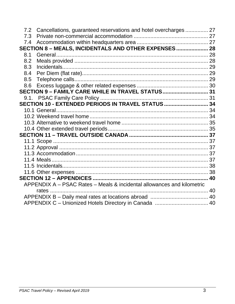| 7.2 | Cancellations, guaranteed reservations and hotel overcharges 27        |  |  |
|-----|------------------------------------------------------------------------|--|--|
| 7.3 |                                                                        |  |  |
| 7.4 |                                                                        |  |  |
|     | SECTION 8 - MEALS, INCIDENTALS AND OTHER EXPENSES  28                  |  |  |
| 8.1 |                                                                        |  |  |
| 8.2 |                                                                        |  |  |
| 8.3 |                                                                        |  |  |
| 8.4 |                                                                        |  |  |
| 8.5 |                                                                        |  |  |
| 8.6 |                                                                        |  |  |
|     | SECTION 9 - FAMILY CARE WHILE IN TRAVEL STATUS 31                      |  |  |
|     |                                                                        |  |  |
|     | SECTION 10 - EXTENDED PERIODS IN TRAVEL STATUS  34                     |  |  |
|     |                                                                        |  |  |
|     |                                                                        |  |  |
|     |                                                                        |  |  |
|     |                                                                        |  |  |
|     |                                                                        |  |  |
|     |                                                                        |  |  |
|     |                                                                        |  |  |
|     |                                                                        |  |  |
|     |                                                                        |  |  |
|     |                                                                        |  |  |
|     |                                                                        |  |  |
|     |                                                                        |  |  |
|     | APPENDIX A - PSAC Rates - Meals & incidental allowances and kilometric |  |  |
|     |                                                                        |  |  |
|     |                                                                        |  |  |
|     |                                                                        |  |  |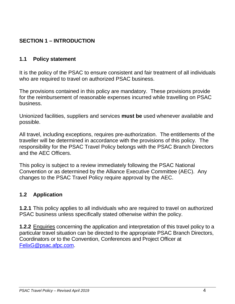# <span id="page-3-3"></span><span id="page-3-0"></span>**SECTION 1 – INTRODUCTION**

#### <span id="page-3-1"></span>**1.1 Policy statement**

It is the policy of the PSAC to ensure consistent and fair treatment of all individuals who are required to travel on authorized PSAC business.

The provisions contained in this policy are mandatory. These provisions provide for the reimbursement of reasonable expenses incurred while travelling on PSAC business.

Unionized facilities, suppliers and services **must be** used whenever available and possible.

All travel, including exceptions, requires pre-authorization. The entitlements of the traveller will be determined in accordance with the provisions of this policy. The responsibility for the PSAC Travel Policy belongs with the PSAC Branch Directors and the AEC Officers.

This policy is subject to a review immediately following the PSAC National Convention or as determined by the Alliance Executive Committee (AEC). Any changes to the PSAC Travel Policy require approval by the AEC.

#### <span id="page-3-2"></span>**1.2 Application**

**1.2.1** This policy applies to all individuals who are required to travel on authorized PSAC business unless specifically stated otherwise within the policy.

**1.2.2** Enquiries concerning the application and interpretation of this travel policy to a particular travel situation can be directed to the appropriate PSAC Branch Directors, Coordinators or to the Convention, Conferences and Project Officer at [FelixG@psac.afpc.com.](mailto:FelixG@psac.afpc.com)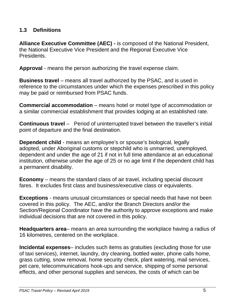#### **1.3 Definitions**

**Alliance Executive Committee (AEC) -** is composed of the National President, the National Executive Vice President and the Regional Executive Vice Presidents.

**Approval** - means the person authorizing the travel expense claim.

**Business travel** – means all travel authorized by the PSAC, and is used in reference to the circumstances under which the expenses prescribed in this policy may be paid or reimbursed from PSAC funds.

**Commercial accommodation** *–* means hotel or motel type of accommodation or a similar commercial establishment that provides lodging at an established rate.

**Continuous travel** – Period of uninterrupted travel between the traveller's initial point of departure and the final destination.

**Dependent child** - means an employee's or spouse's biological, legally adopted, under Aboriginal customs or stepchild who is unmarried, unemployed, dependent and under the age of 21 if not in full time attendance at an educational institution, otherwise under the age of 25 or no age limit if the dependent child has a permanent disability.

**Economy** *–* means the standard class of air travel, including special discount fares. It excludes first class and business/executive class or equivalents.

**Exceptions** - means unusual circumstances or special needs that have not been covered in this policy. The AEC, and/or the Branch Directors and/or the Section/Regional Coordinator have the authority to approve exceptions and make individual decisions that are not covered in this policy.

**Headquarters area***–* means an area surrounding the workplace having a radius of 16 kilometres, centered on the workplace.

**Incidental expenses***–* includes such items as gratuities (excluding those for use of taxi services), internet, laundry, dry cleaning, bottled water, phone calls home, grass cutting, snow removal, home security check, plant watering, mail services, pet care, telecommunications hook-ups and service, shipping of some personal effects, and other personal supplies and services, the costs of which can be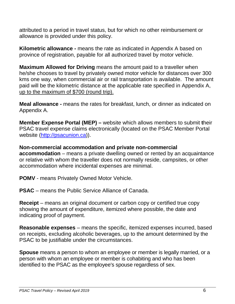attributed to a period in travel status, but for which no other reimbursement or allowance is provided under this policy.

**Kilometric allowance -** means the rate as indicated in Appendix A based on province of registration, payable for all authorized travel by motor vehicle.

**Maximum Allowed for Driving** means the amount paid to a traveller when he/she chooses to travel by privately owned motor vehicle for distances over 300 kms one way, when commercial air or rail transportation is available. The amount paid will be the kilometric distance at the applicable rate specified in Appendix A, up to the maximum of \$700 (round trip).

**Meal allowance -** means the rates for breakfast, lunch, or dinner as indicated on Appendix A.

**Member Expense Portal (MEP) –** website which allows members to submit **t**heir PSAC travel expense claims electronically (located on the PSAC Member Portal website [\(http://psacunion.ca\)](http://psacunion.ca/)).

**Non-commercial accommodation and private non-commercial accommodation** *–* means a private dwelling owned or rented by an acquaintance or relative with whom the traveller does not normally reside, campsites, or other accommodation where incidental expenses are minimal.

**POMV** - means Privately Owned Motor Vehicle.

**PSAC** *–* means the Public Service Alliance of Canada.

**Receipt** *–* means an original document or carbon copy or certified true copy showing the amount of expenditure, itemized where possible, the date and indicating proof of payment.

**Reasonable expenses** *–* means the specific, itemized expenses incurred, based on receipts, excluding alcoholic beverages, up to the amount determined by the PSAC to be justifiable under the circumstances.

**Spouse** means a person to whom an employee or member is legally married, or a person with whom an employee or member is cohabiting and who has been identified to the PSAC as the employee's spouse regardless of sex.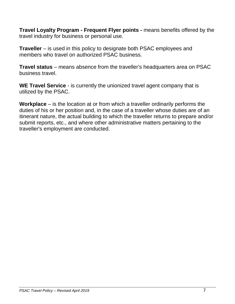**Travel Loyalty Program - Frequent Flyer points -** means benefits offered by the travel industry for business or personal use.

**Traveller** *–* is used in this policy to designate both PSAC employees and members who travel on authorized PSAC business.

**Travel status** *–* means absence from the traveller's headquarters area on PSAC business travel.

**WE Travel Service** - is currently the unionized travel agent company that is utilized by the PSAC.

**Workplace** *–* is the location at or from which a traveller ordinarily performs the duties of his or her position and, in the case of a traveller whose duties are of an itinerant nature, the actual building to which the traveller returns to prepare and/or submit reports, etc., and where other administrative matters pertaining to the traveller's employment are conducted.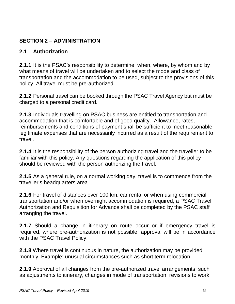# <span id="page-7-0"></span>**SECTION 2 – ADMINISTRATION**

#### <span id="page-7-1"></span>**2.1 Authorization**

**2.1.1** It is the PSAC's responsibility to determine, when, where, by whom and by what means of travel will be undertaken and to select the mode and class of transportation and the accommodation to be used, subject to the provisions of this policy. All travel must be pre-authorized.

**2.1.2** Personal travel can be booked through the PSAC Travel Agency but must be charged to a personal credit card.

**2.1.3** Individuals travelling on PSAC business are entitled to transportation and accommodation that is comfortable and of good quality. Allowance, rates, reimbursements and conditions of payment shall be sufficient to meet reasonable, legitimate expenses that are necessarily incurred as a result of the requirement to travel.

**2.1.4** It is the responsibility of the person authorizing travel and the traveller to be familiar with this policy. Any questions regarding the application of this policy should be reviewed with the person authorizing the travel.

**2.1.5** As a general rule, on a normal working day, travel is to commence from the traveller's headquarters area.

**2.1.6** For travel of distances over 100 km, car rental or when using commercial transportation and/or when overnight accommodation is required, a PSAC Travel Authorization and Requisition for Advance shall be completed by the PSAC staff arranging the travel.

**2.1.7** Should a change in itinerary on route occur or if emergency travel is required, where pre-authorization is not possible, approval will be in accordance with the PSAC Travel Policy.

**2.1.8** Where travel is continuous in nature, the authorization may be provided monthly. Example: unusual circumstances such as short term relocation.

**2.1.9** Approval of all changes from the pre-authorized travel arrangements, such as adjustments to itinerary, changes in mode of transportation, revisions to work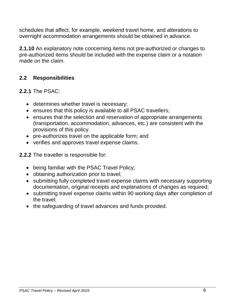schedules that affect, for example, weekend travel home, and alterations to overnight accommodation arrangements should be obtained in advance.

**2.1.10** An explanatory note concerning items not pre-authorized or changes to pre-authorized items should be included with the expense claim or a notation made on the claim.

# <span id="page-8-0"></span>**2.2 Responsibilities**

**2.2.1** The PSAC:

- determines whether travel is necessary;
- ensures that this policy is available to all PSAC travellers;
- ensures that the selection and reservation of appropriate arrangements (transportation, accommodation, advances, etc.) are consistent with the provisions of this policy.
- pre-authorizes travel on the applicable form; and
- verifies and approves travel expense claims.
- **2.2.2** The traveller is responsible for:
	- being familiar with the PSAC Travel Policy;
	- obtaining authorization prior to travel;
	- submitting fully completed travel expense claims with necessary supporting documentation, original receipts and explanations of changes as required;
	- submitting travel expense claims within 90 working days after completion of the travel.
	- the safeguarding of travel advances and funds provided.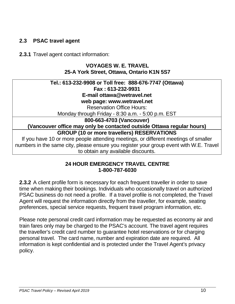#### <span id="page-9-1"></span><span id="page-9-0"></span>**2.3 PSAC travel agent**

#### **2.3.1** Travel agent contact information:

#### **VOYAGES W. E. TRAVEL 25-A York Street, Ottawa, Ontario K1N 5S7**

#### **Tel.: 613-232-9908 or Toll free: 888-676-7747 (Ottawa) Fax : 613-232-9931 E-mail ottawa@wetravel.net web page: www.wetravel.net** Reservation Office Hours: Monday through Friday - 8:30 a.m. - 5:00 p.m. EST **800-663-4703 (Vancouver) (Vancouver office may only be contacted outside Ottawa regular hours) GROUP (10 or more travellers) RESERVATIONS** If you have 10 or more people attending meetings, or different meetings of smaller numbers in the same city, please ensure you register your group event with W.E. Travel to obtain any available discounts.

#### **24 HOUR EMERGENCY TRAVEL CENTRE 1-800-787-6030**

**2.3.2** A client profile form is necessary for each frequent traveller in order to save time when making their bookings. Individuals who occasionally travel on authorized PSAC business do not need a profile. If a travel profile is not completed, the Travel Agent will request the information directly from the traveller, for example, seating preferences, special service requests, frequent travel program information, etc.

Please note personal credit card information may be requested as economy air and train fares only may be charged to the PSAC's account. The travel agent requires the traveller's credit card number to guarantee hotel reservations or for charging personal travel. The card name, number and expiration date are required. All information is kept confidential and is protected under the Travel Agent's privacy policy.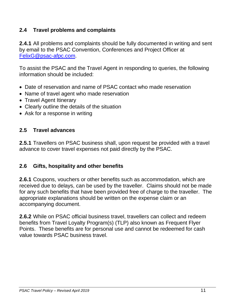#### **2.4 Travel problems and complaints**

**2.4.1** All problems and complaints should be fully documented in writing and sent by email to the PSAC Convention, Conferences and Project Officer at [FelixG@psac-afpc.com.](mailto:FelixG@psac-afpc.com)

To assist the PSAC and the Travel Agent in responding to queries, the following information should be included:

- Date of reservation and name of PSAC contact who made reservation
- Name of travel agent who made reservation
- Travel Agent Itinerary
- Clearly outline the details of the situation
- Ask for a response in writing

#### <span id="page-10-0"></span>**2.5 Travel advances**

**2.5.1** Travellers on PSAC business shall, upon request be provided with a travel advance to cover travel expenses not paid directly by the PSAC.

#### <span id="page-10-1"></span>**2.6 Gifts, hospitality and other benefits**

**2.6.1** Coupons, vouchers or other benefits such as accommodation, which are received due to delays, can be used by the traveller. Claims should not be made for any such benefits that have been provided free of charge to the traveller. The appropriate explanations should be written on the expense claim or an accompanying document.

**2.6.2** While on PSAC official business travel, travellers can collect and redeem benefits from Travel Loyalty Program(s) (TLP) also known as Frequent Flyer Points. These benefits are for personal use and cannot be redeemed for cash value towards PSAC business travel.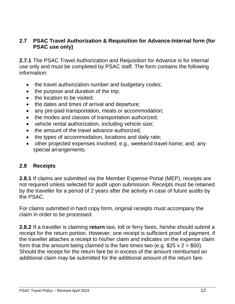#### <span id="page-11-0"></span>**2.7 PSAC Travel Authorization & Requisition for Advance-Internal form (for PSAC use only)**

**2.7.1** The PSAC Travel Authorization and Requisition for Advance is for internal use only and must be completed by PSAC staff. The form contains the following information:

- the travel authorization number and budgetary codes;
- the purpose and duration of the trip;
- the location to be visited:
- the dates and times of arrival and departure;
- any pre-paid transportation, meals or accommodation;
- the modes and classes of transportation authorized;
- vehicle rental authorization, including vehicle size;
- the amount of the travel advance authorized;
- the types of accommodation, locations and daily rate;
- other projected expenses involved, e.g., weekend travel home; and, any special arrangements.

#### <span id="page-11-1"></span>**2.8 Receipts**

**2.8.1** If claims are submitted via the Member Expense Portal (MEP), receipts are not required unless selected for audit upon submission. Receipts must be retained by the traveller for a period of 2 years after the activity in case of future audits by the PSAC.

For claims submitted in hard copy form, original receipts must accompany the claim in order to be processed.

**2.8.2** If a traveller is claiming **return** taxi, toll or ferry fares, he/she should submit a receipt for the return portion. However, one receipt is sufficient proof of payment, if the traveller attaches a receipt to his/her claim and indicates on the expense claim form that the amount being claimed is the fare times two (e.g.  $$25 \times 2 = $50$ ). Should the receipt for the return fare be in excess of the amount reimbursed an additional claim may be submitted for the additional amount of the return fare.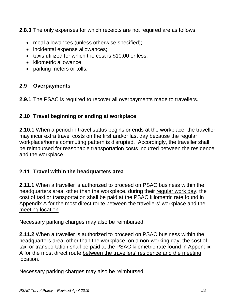**2.8.3** The only expenses for which receipts are not required are as follows:

- meal allowances (unless otherwise specified);
- incidental expense allowances;
- taxis utilized for which the cost is \$10.00 or less;
- kilometric allowance:
- parking meters or tolls.

# <span id="page-12-0"></span>**2.9 Overpayments**

**2.9.1** The PSAC is required to recover all overpayments made to travellers.

# <span id="page-12-1"></span>**2.10 Travel beginning or ending at workplace**

**2.10.1** When a period in travel status begins or ends at the workplace, the traveller may incur extra travel costs on the first and/or last day because the regular workplace/home commuting pattern is disrupted. Accordingly, the traveller shall be reimbursed for reasonable transportation costs incurred between the residence and the workplace.

# <span id="page-12-2"></span>**2.11 Travel within the headquarters area**

**2.11.1** When a traveller is authorized to proceed on PSAC business within the headquarters area, other than the workplace, during their regular work day, the cost of taxi or transportation shall be paid at the PSAC kilometric rate found in Appendix A for the most direct route between the travellers' workplace and the meeting location.

Necessary parking charges may also be reimbursed.

**2.11.2** When a traveller is authorized to proceed on PSAC business within the headquarters area, other than the workplace, on a non-working day, the cost of taxi or transportation shall be paid at the PSAC kilometric rate found in Appendix A for the most direct route between the travellers' residence and the meeting location.

Necessary parking charges may also be reimbursed.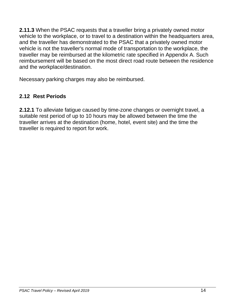**2.11.3** When the PSAC requests that a traveller bring a privately owned motor vehicle to the workplace, or to travel to a destination within the headquarters area, and the traveller has demonstrated to the PSAC that a privately owned motor vehicle is not the traveller's normal mode of transportation to the workplace, the traveller may be reimbursed at the kilometric rate specified in Appendix A. Such reimbursement will be based on the most direct road route between the residence and the workplace/destination.

Necessary parking charges may also be reimbursed.

# <span id="page-13-0"></span>**2.12 Rest Periods**

**2.12.1** To alleviate fatigue caused by time-zone changes or overnight travel, a suitable rest period of up to 10 hours may be allowed between the time the traveller arrives at the destination (home, hotel, event site) and the time the traveller is required to report for work.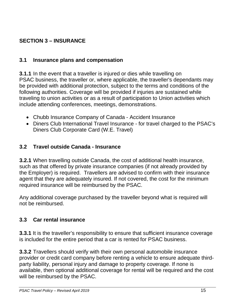# <span id="page-14-4"></span><span id="page-14-0"></span>**SECTION 3 – INSURANCE**

#### <span id="page-14-1"></span>**3.1 Insurance plans and compensation**

**3.1.1** In the event that a traveller is injured or dies while travelling on PSAC business, the traveller or, where applicable, the traveller's dependants may be provided with additional protection, subject to the terms and conditions of the following authorities. Coverage will be provided if injuries are sustained while traveling to union activities or as a result of participation to Union activities which include attending conferences, meetings, demonstrations.

- Chubb Insurance Company of Canada Accident Insurance
- Diners Club International Travel Insurance for travel charged to the PSAC's Diners Club Corporate Card (W.E. Travel)

#### <span id="page-14-2"></span>**3.2 Travel outside Canada - Insurance**

**3.2.1** When travelling outside Canada, the cost of additional health insurance, such as that offered by private insurance companies (if not already provided by the Employer) is required. Travellers are advised to confirm with their insurance agent that they are adequately insured. If not covered, the cost for the minimum required insurance will be reimbursed by the PSAC.

Any additional coverage purchased by the traveller beyond what is required will not be reimbursed.

#### <span id="page-14-3"></span>**3.3 Car rental insurance**

**3.3.1** It is the traveller's responsibility to ensure that sufficient insurance coverage is included for the entire period that a car is rented for PSAC business.

**3.3.2** Travellers should verify with their own personal automobile insurance provider or credit card company before renting a vehicle to ensure adequate thirdparty liability, personal injury and damage to property coverage. If none is available, then optional additional coverage for rental will be required and the cost will be reimbursed by the PSAC.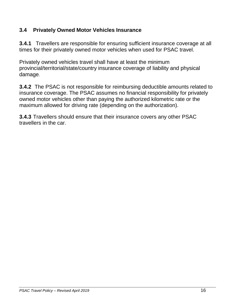# **3.4 Privately Owned Motor Vehicles Insurance**

**3.4.1** Travellers are responsible for ensuring sufficient insurance coverage at all times for their privately owned motor vehicles when used for PSAC travel.

Privately owned vehicles travel shall have at least the minimum provincial/territorial/state/country insurance coverage of liability and physical damage.

**3.4.2** The PSAC is not responsible for reimbursing deductible amounts related to insurance coverage. The PSAC assumes no financial responsibility for privately owned motor vehicles other than paying the authorized kilometric rate or the maximum allowed for driving rate (depending on the authorization).

**3.4.3** Travellers should ensure that their insurance covers any other PSAC travellers in the car.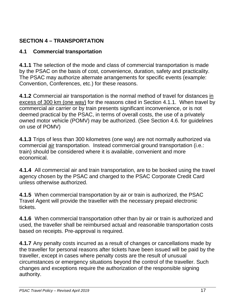# <span id="page-16-2"></span><span id="page-16-0"></span>**SECTION 4 – TRANSPORTATION**

#### <span id="page-16-1"></span>**4.1 Commercial transportation**

**4.1.1** The selection of the mode and class of commercial transportation is made by the PSAC on the basis of cost, convenience, duration, safety and practicality. The PSAC may authorize alternate arrangements for specific events (example: Convention, Conferences, etc.) for these reasons.

**4.1.2** Commercial air transportation is the normal method of travel for distances in excess of 300 km (one way) for the reasons cited in Section 4.1.1. When travel by commercial air carrier or by train presents significant inconvenience, or is not deemed practical by the PSAC, in terms of overall costs, the use of a privately owned motor vehicle (POMV) may be authorized. (See Section 4.6. for guidelines on use of POMV)

**4.1.3** Trips of less than 300 kilometres (one way) are not normally authorized via commercial air transportation. Instead commercial ground transportation (i.e.: train) should be considered where it is available, convenient and more economical.

**4.1.4** All commercial air and train transportation, are to be booked using the travel agency chosen by the PSAC and charged to the PSAC Corporate Credit Card unless otherwise authorized.

**4.1.5** When commercial transportation by air or train is authorized, the PSAC Travel Agent will provide the traveller with the necessary prepaid electronic tickets.

**4.1.6** When commercial transportation other than by air or train is authorized and used, the traveller shall be reimbursed actual and reasonable transportation costs based on receipts. Pre-approval is required.

**4.1.7** Any penalty costs incurred as a result of changes or cancellations made by the traveller for personal reasons after tickets have been issued will be paid by the traveller, except in cases where penalty costs are the result of unusual circumstances or emergency situations beyond the control of the traveller. Such changes and exceptions require the authorization of the responsible signing authority.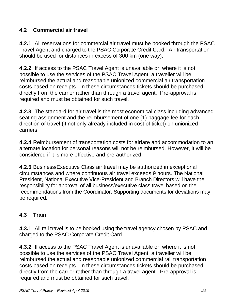# **4.2 Commercial air travel**

**4.2.1** All reservations for commercial air travel must be booked through the PSAC Travel Agent and charged to the PSAC Corporate Credit Card. Air transportation should be used for distances in excess of 300 km (one way).

**4.2.2** If access to the PSAC Travel Agent is unavailable or, where it is not possible to use the services of the PSAC Travel Agent, a traveller will be reimbursed the actual and reasonable unionized commercial air transportation costs based on receipts. In these circumstances tickets should be purchased directly from the carrier rather than through a travel agent. Pre-approval is required and must be obtained for such travel.

**4.2.3** The standard for air travel is the most economical class including advanced seating assignment and the reimbursement of one (1) baggage fee for each direction of travel (if not only already included in cost of ticket) on unionized carriers

**4.2.4** Reimbursement of transportation costs for airfare and accommodation to an alternate location for personal reasons will not be reimbursed. However, it will be considered if it is more effective and pre-authorized.

**4.2.5** Business/Executive Class air travel may be authorized in exceptional circumstances and where continuous air travel exceeds 9 hours. The National President, National Executive Vice-President and Branch Directors will have the responsibility for approval of all business/executive class travel based on the recommendations from the Coordinator. Supporting documents for deviations may be required.

# <span id="page-17-0"></span>**4.3 Train**

**4.3.1** All rail travel is to be booked using the travel agency chosen by PSAC and charged to the PSAC Corporate Credit Card.

**4.3.2** If access to the PSAC Travel Agent is unavailable or, where it is not possible to use the services of the PSAC Travel Agent, a traveller will be reimbursed the actual and reasonable unionized commercial rail transportation costs based on receipts. In these circumstances tickets should be purchased directly from the carrier rather than through a travel agent. Pre-approval is required and must be obtained for such travel.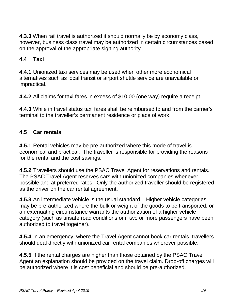**4.3.3** When rail travel is authorized it should normally be by economy class, however, business class travel may be authorized in certain circumstances based on the approval of the appropriate signing authority.

# <span id="page-18-0"></span>**4.4 Taxi**

**4.4.1** Unionized taxi services may be used when other more economical alternatives such as local transit or airport shuttle service are unavailable or impractical.

**4.4.2** All claims for taxi fares in excess of \$10.00 (one way) require a receipt.

**4.4.3** While in travel status taxi fares shall be reimbursed to and from the carrier's terminal to the traveller's permanent residence or place of work.

### <span id="page-18-1"></span>**4.5 Car rentals**

**4.5.1** Rental vehicles may be pre-authorized where this mode of travel is economical and practical. The traveller is responsible for providing the reasons for the rental and the cost savings.

**4.5.2** Travellers should use the PSAC Travel Agent for reservations and rentals. The PSAC Travel Agent reserves cars with unionized companies whenever possible and at preferred rates. Only the authorized traveller should be registered as the driver on the car rental agreement.

**4.5.3** An intermediate vehicle is the usual standard. Higher vehicle categories may be pre-authorized where the bulk or weight of the goods to be transported, or an extenuating circumstance warrants the authorization of a higher vehicle category (such as unsafe road conditions or if two or more passengers have been authorized to travel together).

**4.5.4** In an emergency, where the Travel Agent cannot book car rentals, travellers should deal directly with unionized car rental companies wherever possible.

**4.5.5** If the rental charges are higher than those obtained by the PSAC Travel Agent an explanation should be provided on the travel claim. Drop-off charges will be authorized where it is cost beneficial and should be pre-authorized.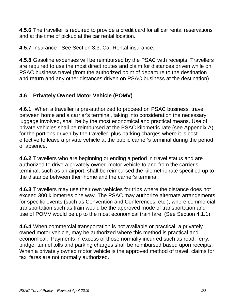**4.5.6** The traveller is required to provide a credit card for all car rental reservations and at the time of pickup at the car rental location.

**4.5.7** Insurance - See Section 3.3, Car Rental insurance.

**4.5.8** Gasoline expenses will be reimbursed by the PSAC with receipts. Travellers are required to use the most direct routes and claim for distances driven while on PSAC business travel (from the authorized point of departure to the destination and return and any other distances driven on PSAC business at the destination).

# <span id="page-19-0"></span>**4.6 Privately Owned Motor Vehicle (POMV)**

**4.6.1** When a traveller is pre-authorized to proceed on PSAC business, travel between home and a carrier's terminal, taking into consideration the necessary luggage involved, shall be by the most economical and practical means. Use of private vehicles shall be reimbursed at the PSAC kilometric rate (see Appendix A) for the portions driven by the traveller, plus parking charges where it is costeffective to leave a private vehicle at the public carrier's terminal during the period of absence.

**4.6.2** Travellers who are beginning or ending a period in travel status and are authorized to drive a privately owned motor vehicle to and from the carrier's terminal, such as an airport, shall be reimbursed the kilometric rate specified up to the distance between their home and the carrier's terminal.

**4.6.3** Travellers may use their own vehicles for trips where the distance does not exceed 300 kilometres one way. The PSAC may authorize alternate arrangements for specific events (such as Convention and Conferences, etc.), where commercial transportation such as train would be the approved mode of transportation and use of POMV would be up to the most economical train fare. (See Section 4.1.1)

**4.6.4** When commercial transportation is not available or practical, a privately owned motor vehicle, may be authorized where this method is practical and economical. Payments in excess of those normally incurred such as road, ferry, bridge, tunnel tolls and parking charges shall be reimbursed based upon receipts. When a privately owned motor vehicle is the approved method of travel, claims for taxi fares are not normally authorized.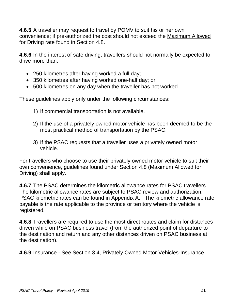<span id="page-20-0"></span>**4.6.5** A traveller may request to travel by POMV to suit his or her own convenience; if pre-authorized the cost should not exceed the Maximum Allowed for Driving rate found in Section 4.8.

**4.6.6** In the interest of safe driving, travellers should not normally be expected to drive more than:

- 250 kilometres after having worked a full day;
- 350 kilometres after having worked one-half day; or
- 500 kilometres on any day when the traveller has not worked.

These guidelines apply only under the following circumstances:

- 1) If commercial transportation is not available.
- 2) If the use of a privately owned motor vehicle has been deemed to be the most practical method of transportation by the PSAC.
- 3) If the PSAC requests that a traveller uses a privately owned motor vehicle.

For travellers who choose to use their privately owned motor vehicle to suit their own convenience, guidelines found under Section 4.8 (Maximum Allowed for Driving) shall apply.

**4.6.7** The PSAC determines the kilometric allowance rates for PSAC travellers. The kilometric allowance rates are subject to PSAC review and authorization. PSAC kilometric rates can be found in Appendix A. The kilometric allowance rate payable is the rate applicable to the province or territory where the vehicle is registered.

**4.6.8** Travellers are required to use the most direct routes and claim for distances driven while on PSAC business travel (from the authorized point of departure to the destination and return and any other distances driven on PSAC business at the destination).

**4.6.9** Insurance - See Section 3.4, Privately Owned Motor Vehicles-Insurance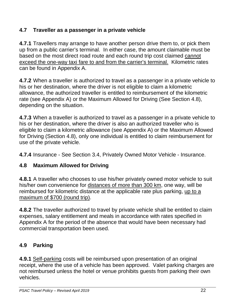# **4.7 Traveller as a passenger in a private vehicle**

**4.7.1** Travellers may arrange to have another person drive them to, or pick them up from a public carrier's terminal. In either case, the amount claimable must be based on the most direct road route and each round trip cost claimed cannot exceed the one-way taxi fare to and from the carrier's terminal. Kilometric rates can be found in Appendix A.

**4.7.2** When a traveller is authorized to travel as a passenger in a private vehicle to his or her destination, where the driver is not eligible to claim a kilometric allowance, the authorized traveller is entitled to reimbursement of the kilometric rate (see Appendix A) or the Maximum Allowed for Driving (See Section 4.8), depending on the situation.

**4.7.3** When a traveller is authorized to travel as a passenger in a private vehicle to his or her destination, where the driver is also an authorized traveller who is eligible to claim a kilometric allowance (see Appendix A) or the Maximum Allowed for Driving (Section 4.8), only one individual is entitled to claim reimbursement for use of the private vehicle.

**4.7.4** Insurance - See Section 3.4, Privately Owned Motor Vehicle - Insurance.

# <span id="page-21-0"></span>**4.8 Maximum Allowed for Driving**

**4.8.1** A traveller who chooses to use his/her privately owned motor vehicle to suit his/her own convenience for distances of more than 300 km, one way, will be reimbursed for kilometric distance at the applicable rate plus parking, up to a maximum of \$700 (round trip).

**4.8.2** The traveller authorized to travel by private vehicle shall be entitled to claim expenses, salary entitlement and meals in accordance with rates specified in Appendix A for the period of the absence that would have been necessary had commercial transportation been used.

# <span id="page-21-1"></span>**4.9 Parking**

**4.9.1** Self-parking costs will be reimbursed upon presentation of an original receipt, where the use of a vehicle has been approved. Valet parking charges are not reimbursed unless the hotel or venue prohibits guests from parking their own vehicles.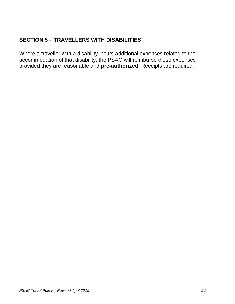# <span id="page-22-0"></span>**SECTION 5 – TRAVELLERS WITH DISABILITIES**

Where a traveller with a disability incurs additional expenses related to the accommodation of that disability, the PSAC will reimburse these expenses provided they are reasonable and **pre-authorized**. Receipts are required.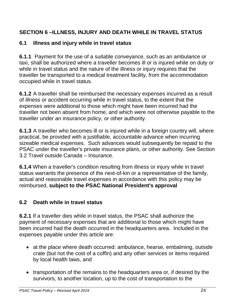# <span id="page-23-0"></span>**SECTION 6 –ILLNESS, INJURY AND DEATH WHILE IN TRAVEL STATUS**

#### <span id="page-23-1"></span>**6.1 Illness and injury while in travel status**

**6.1.1** Payment for the use of a suitable conveyance, such as an ambulance or taxi, shall be authorized where a traveller becomes ill or is injured while on duty or while in travel status and the nature of the illness or injury requires that the traveller be transported to a medical treatment facility, from the accommodation occupied while in travel status.

**6.1.2** A traveller shall be reimbursed the necessary expenses incurred as a result of illness or accident occurring while in travel status, to the extent that the expenses were additional to those which might have been incurred had the traveller not been absent from home, and which were not otherwise payable to the traveller under an insurance policy, or other authority.

**6.1.3** A traveller who becomes ill or is injured while in a foreign country will, where practical, be provided with a justifiable, accountable advance when incurring sizeable medical expenses. Such advances would subsequently be repaid to the PSAC under the traveller's private insurance plans, or other authority. See Section 3.2 Travel outside Canada – Insurance.

**6.1.4** When a traveller's condition resulting from illness or injury while in travel status warrants the presence of the next-of-kin or a representative of the family, actual and reasonable travel expenses in accordance with this policy may be reimbursed, **subject to the PSAC National President's approval**

#### <span id="page-23-2"></span>**6.2 Death while in travel status**

**6.2.1** If a traveller dies while in travel status, the PSAC shall authorize the payment of necessary expenses that are additional to those which might have been incurred had the death occurred in the headquarters area. Included in the expenses payable under this article are:

- at the place where death occurred: ambulance, hearse, embalming, outside crate (but not the cost of a coffin) and any other services or items required by local health laws, and
- transportation of the remains to the headquarters area or, if desired by the survivors, to another location, up to the cost of transportation to the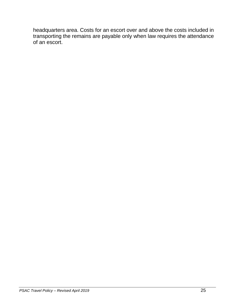headquarters area. Costs for an escort over and above the costs included in transporting the remains are payable only when law requires the attendance of an escort.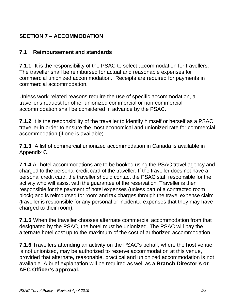# <span id="page-25-2"></span><span id="page-25-0"></span>**SECTION 7 – ACCOMMODATION**

### <span id="page-25-1"></span>**7.1 Reimbursement and standards**

**7.1.1** It is the responsibility of the PSAC to select accommodation for travellers. The traveller shall be reimbursed for actual and reasonable expenses for commercial unionized accommodation. Receipts are required for payments in commercial accommodation.

Unless work-related reasons require the use of specific accommodation, a traveller's request for other unionized commercial or non-commercial accommodation shall be considered in advance by the PSAC.

**7.1.2** It is the responsibility of the traveller to identify himself or herself as a PSAC traveller in order to ensure the most economical and unionized rate for commercial accommodation (if one is available).

**7.1.3** A list of commercial unionized accommodation in Canada is available in Appendix C.

**7.1.4** All hotel accommodations are to be booked using the PSAC travel agency and charged to the personal credit card of the traveller. If the traveller does not have a personal credit card, the traveller should contact the PSAC staff responsible for the activity who will assist with the guarantee of the reservation. Traveller is then responsible for the payment of hotel expenses (unless part of a contracted room block) and is reimbursed for room and tax charges through the travel expense claim (traveller is responsible for any personal or incidental expenses that they may have charged to their room).

**7.1.5** When the traveller chooses alternate commercial accommodation from that designated by the PSAC, the hotel must be unionized. The PSAC will pay the alternate hotel cost up to the maximum of the cost of authorized accommodation.

**7.1.6** Travellers attending an activity on the PSAC's behalf, where the host venue is not unionized, may be authorized to reserve accommodation at this venue, provided that alternate, reasonable, practical and unionized accommodation is not available. A brief explanation will be required as well as a **Branch Director's or AEC Officer's approval.**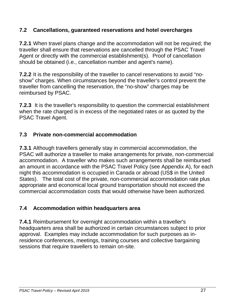#### **7.2 Cancellations, guaranteed reservations and hotel overcharges**

**7.2.1** When travel plans change and the accommodation will not be required; the traveller shall ensure that reservations are cancelled through the PSAC Travel Agent or directly with the commercial establishment(s). Proof of cancellation should be obtained (i.e., cancellation number and agent's name).

**7.2.2** It is the responsibility of the traveller to cancel reservations to avoid "noshow" charges. When circumstances beyond the traveller's control prevent the traveller from cancelling the reservation, the "no-show" charges may be reimbursed by PSAC.

**7.2.3** It is the traveller's responsibility to question the commercial establishment when the rate charged is in excess of the negotiated rates or as quoted by the PSAC Travel Agent.

#### <span id="page-26-0"></span>**7.3 Private non-commercial accommodation**

**7.3.1** Although travellers generally stay in commercial accommodation, the PSAC will authorize a traveller to make arrangements for private, non-commercial accommodation. A traveller who makes such arrangements shall be reimbursed an amount in accordance with the PSAC Travel Policy (see Appendix A), for each night this accommodation is occupied in Canada or abroad (US\$ in the United States). The total cost of the private, non-commercial accommodation rate plus appropriate and economical local ground transportation should not exceed the commercial accommodation costs that would otherwise have been authorized.

#### <span id="page-26-1"></span>**7.4 Accommodation within headquarters area**

**7.4.1** Reimbursement for overnight accommodation within a traveller's headquarters area shall be authorized in certain circumstances subject to prior approval. Examples may include accommodation for such purposes as inresidence conferences, meetings, training courses and collective bargaining sessions that require travellers to remain on-site.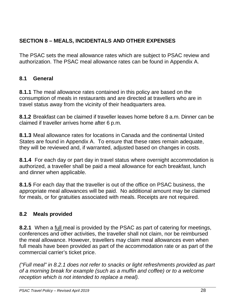# <span id="page-27-0"></span>**SECTION 8 – MEALS, INCIDENTALS AND OTHER EXPENSES**

The PSAC sets the meal allowance rates which are subject to PSAC review and authorization. The PSAC meal allowance rates can be found in Appendix A.

### <span id="page-27-1"></span>**8.1 General**

**8.1.1** The meal allowance rates contained in this policy are based on the consumption of meals in restaurants and are directed at travellers who are in travel status away from the vicinity of their headquarters area.

**8.1.2** Breakfast can be claimed if traveller leaves home before 8 a.m. Dinner can be claimed if traveller arrives home after 6 p.m.

**8.1.3** Meal allowance rates for locations in Canada and the continental United States are found in Appendix A. To ensure that these rates remain adequate, they will be reviewed and, if warranted, adjusted based on changes in costs.

**8.1.4** For each day or part day in travel status where overnight accommodation is authorized, a traveller shall be paid a meal allowance for each breakfast, lunch and dinner when applicable.

**8.1.5** For each day that the traveller is out of the office on PSAC business, the appropriate meal allowances will be paid. No additional amount may be claimed for meals, or for gratuities associated with meals. Receipts are not required.

#### <span id="page-27-2"></span>**8.2 Meals provided**

**8.2.1** When a full meal is provided by the PSAC as part of catering for meetings, conferences and other activities, the traveller shall not claim, nor be reimbursed the meal allowance. However, travellers may claim meal allowances even when full meals have been provided as part of the accommodation rate or as part of the commercial carrier's ticket price.

*("Full meal" in 8.2.1 does not refer to snacks or light refreshments provided as part of a morning break for example (such as a muffin and coffee) or to a welcome reception which is not intended to replace a meal).*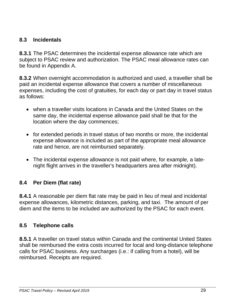#### <span id="page-28-0"></span>**8.3 Incidentals**

**8.3.1** The PSAC determines the incidental expense allowance rate which are subject to PSAC review and authorization. The PSAC meal allowance rates can be found in Appendix A.

**8.3.2** When overnight accommodation is authorized and used, a traveller shall be paid an incidental expense allowance that covers a number of miscellaneous expenses, including the cost of gratuities, for each day or part day in travel status as follows:

- when a traveller visits locations in Canada and the United States on the same day, the incidental expense allowance paid shall be that for the location where the day commences;
- for extended periods in travel status of two months or more, the incidental expense allowance is included as part of the appropriate meal allowance rate and hence, are not reimbursed separately.
- The incidental expense allowance is not paid where, for example, a latenight flight arrives in the traveller's headquarters area after midnight).

#### <span id="page-28-1"></span>**8.4 Per Diem (flat rate)**

**8.4.1** A reasonable per diem flat rate may be paid in lieu of meal and incidental expense allowances, kilometric distances, parking, and taxi. The amount of per diem and the items to be included are authorized by the PSAC for each event.

#### <span id="page-28-2"></span>**8.5 Telephone calls**

**8.5.1** A traveller on travel status within Canada and the continental United States shall be reimbursed the extra costs incurred for local and long-distance telephone calls for PSAC business. Any surcharges (i.e.: if calling from a hotel), will be reimbursed. Receipts are required.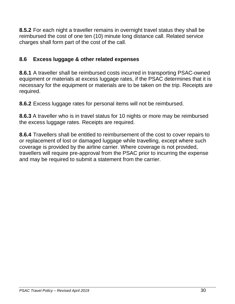**8.5.2** For each night a traveller remains in overnight travel status they shall be reimbursed the cost of one ten (10) minute long distance call. Related service charges shall form part of the cost of the call.

#### <span id="page-29-0"></span>**8.6 Excess luggage & other related expenses**

**8.6.1** A traveller shall be reimbursed costs incurred in transporting PSAC-owned equipment or materials at excess luggage rates, if the PSAC determines that it is necessary for the equipment or materials are to be taken on the trip. Receipts are required.

**8.6.2** Excess luggage rates for personal items will not be reimbursed.

**8.6.3** A traveller who is in travel status for 10 nights or more may be reimbursed the excess luggage rates. Receipts are required.

**8.6.4** Travellers shall be entitled to reimbursement of the cost to cover repairs to or replacement of lost or damaged luggage while travelling, except where such coverage is provided by the airline carrier. Where coverage is not provided, travellers will require pre-approval from the PSAC prior to incurring the expense and may be required to submit a statement from the carrier.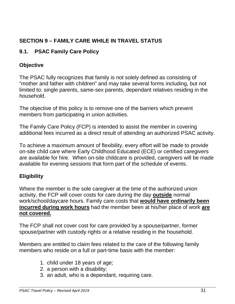# <span id="page-30-0"></span>**SECTION 9 – FAMILY CARE WHILE IN TRAVEL STATUS**

#### <span id="page-30-1"></span>**9.1. PSAC Family Care Policy**

#### **Objective**

The PSAC fully recognizes that family is not solely defined as consisting of "mother and father with children" and may take several forms including, but not limited to: single parents, same-sex parents, dependant relatives residing in the household.

The objective of this policy is to remove one of the barriers which prevent members from participating in union activities.

The Family Care Policy (FCP) is intended to assist the member in covering additional fees incurred as a direct result of attending an authorized PSAC activity.

To achieve a maximum amount of flexibility, every effort will be made to provide on-site child care where Early Childhood Educated (ECE) or certified caregivers are available for hire. When on-site childcare is provided, caregivers will be made available for evening sessions that form part of the schedule of events.

# **Eligibility**

Where the member is the sole caregiver at the time of the authorized union activity, the FCP will cover costs for care during the day **outside** normal work/school/daycare hours. Family care costs that **would have ordinarily been incurred during work hours** had the member been at his/her place of work **are not covered.**

The FCP shall not cover cost for care provided by a spouse/partner, former spouse/partner with custody rights or a relative residing in the household.

Members are entitled to claim fees related to the care of the following family members who reside on a full or part-time basis with the member:

- 1. child under 18 years of age;
- 2. a person with a disability;
- 3. an adult, who is a dependant, requiring care.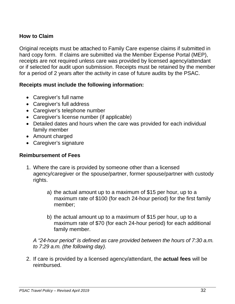#### **How to Claim**

Original receipts must be attached to Family Care expense claims if submitted in hard copy form. If claims are submitted via the Member Expense Portal (MEP), receipts are not required unless care was provided by licensed agency/attendant or if selected for audit upon submission. Receipts must be retained by the member for a period of 2 years after the activity in case of future audits by the PSAC.

#### **Receipts must include the following information:**

- Caregiver's full name
- Caregiver's full address
- Caregiver's telephone number
- Caregiver's license number (if applicable)
- Detailed dates and hours when the care was provided for each individual family member
- Amount charged
- Caregiver's signature

#### **Reimbursement of Fees**

- 1. Where the care is provided by someone other than a licensed agency/caregiver or the spouse/partner, former spouse/partner with custody rights.
	- a) the actual amount up to a maximum of \$15 per hour, up to a maximum rate of \$100 (for each 24-hour period) for the first family member;
	- b) the actual amount up to a maximum of \$15 per hour, up to a maximum rate of \$70 (for each 24-hour period) for each additional family member.

*A "24-hour period" is defined as care provided between the hours of 7:30 a.m. to 7:29 a.m. (the following day).*

2. If care is provided by a licensed agency/attendant, the **actual fees** will be reimbursed.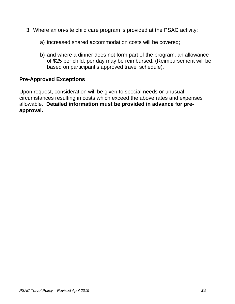- 3. Where an on-site child care program is provided at the PSAC activity:
	- a) increased shared accommodation costs will be covered;
	- b) and where a dinner does not form part of the program, an allowance of \$25 per child, per day may be reimbursed. (Reimbursement will be based on participant's approved travel schedule).

#### **Pre-Approved Exceptions**

Upon request, consideration will be given to special needs or unusual circumstances resulting in costs which exceed the above rates and expenses allowable. **Detailed information must be provided in advance for preapproval.**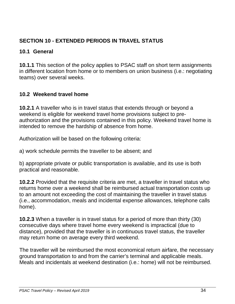# <span id="page-33-0"></span>**SECTION 10 - EXTENDED PERIODS IN TRAVEL STATUS**

#### <span id="page-33-1"></span>**10.1 General**

**10.1.1** This section of the policy applies to PSAC staff on short term assignments in different location from home or to members on union business (i.e.: negotiating teams) over several weeks.

#### <span id="page-33-2"></span>**10.2 Weekend travel home**

**10.2.1** A traveller who is in travel status that extends through or beyond a weekend is eligible for weekend travel home provisions subject to preauthorization and the provisions contained in this policy. Weekend travel home is intended to remove the hardship of absence from home.

Authorization will be based on the following criteria:

a) work schedule permits the traveller to be absent; and

b) appropriate private or public transportation is available, and its use is both practical and reasonable.

**10.2.2** Provided that the requisite criteria are met, a traveller in travel status who returns home over a weekend shall be reimbursed actual transportation costs up to an amount not exceeding the cost of maintaining the traveller in travel status (i.e., accommodation, meals and incidental expense allowances, telephone calls home).

**10.2.3** When a traveller is in travel status for a period of more than thirty (30) consecutive days where travel home every weekend is impractical (due to distance), provided that the traveller is in continuous travel status, the traveller may return home on average every third weekend.

The traveller will be reimbursed the most economical return airfare, the necessary ground transportation to and from the carrier's terminal and applicable meals. Meals and incidentals at weekend destination (i.e.: home) will not be reimbursed.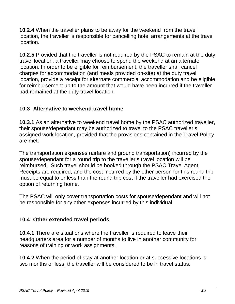**10.2.4** When the traveller plans to be away for the weekend from the travel location, the traveller is responsible for cancelling hotel arrangements at the travel location.

**10.2.5** Provided that the traveller is not required by the PSAC to remain at the duty travel location, a traveller may choose to spend the weekend at an alternate location. In order to be eligible for reimbursement, the traveller shall cancel charges for accommodation (and meals provided on-site) at the duty travel location, provide a receipt for alternate commercial accommodation and be eligible for reimbursement up to the amount that would have been incurred if the traveller had remained at the duty travel location.

#### <span id="page-34-0"></span>**10.3 Alternative to weekend travel home**

**10.3.1** As an alternative to weekend travel home by the PSAC authorized traveller, their spouse/dependant may be authorized to travel to the PSAC traveller's assigned work location, provided that the provisions contained in the Travel Policy are met.

The transportation expenses (airfare and ground transportation) incurred by the spouse/dependant for a round trip to the traveller's travel location will be reimbursed. Such travel should be booked through the PSAC Travel Agent. Receipts are required, and the cost incurred by the other person for this round trip must be equal to or less than the round trip cost if the traveller had exercised the option of returning home.

The PSAC will only cover transportation costs for spouse/dependant and will not be responsible for any other expenses incurred by this individual.

#### <span id="page-34-1"></span>**10.4 Other extended travel periods**

**10.4.1** There are situations where the traveller is required to leave their headquarters area for a number of months to live in another community for reasons of training or work assignments.

**10.4.2** When the period of stay at another location or at successive locations is two months or less, the traveller will be considered to be in travel status.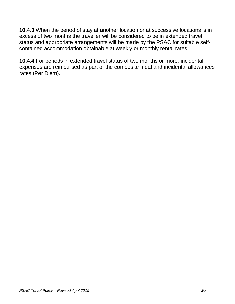**10.4.3** When the period of stay at another location or at successive locations is in excess of two months the traveller will be considered to be in extended travel status and appropriate arrangements will be made by the PSAC for suitable selfcontained accommodation obtainable at weekly or monthly rental rates.

**10.4.4** For periods in extended travel status of two months or more, incidental expenses are reimbursed as part of the composite meal and incidental allowances rates (Per Diem).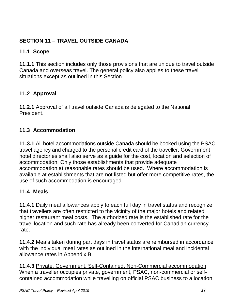# <span id="page-36-0"></span>**SECTION 11 – TRAVEL OUTSIDE CANADA**

### <span id="page-36-1"></span>**11.1 Scope**

**11.1.1** This section includes only those provisions that are unique to travel outside Canada and overseas travel. The general policy also applies to these travel situations except as outlined in this Section.

# <span id="page-36-2"></span>**11.2 Approval**

**11.2.1** Approval of all travel outside Canada is delegated to the National President.

# <span id="page-36-3"></span>**11.3 Accommodation**

**11.3.1** All hotel accommodations outside Canada should be booked using the PSAC travel agency and charged to the personal credit card of the traveller. Government hotel directories shall also serve as a guide for the cost, location and selection of accommodation. Only those establishments that provide adequate accommodation at reasonable rates should be used. Where accommodation is available at establishments that are not listed but offer more competitive rates, the use of such accommodation is encouraged.

# <span id="page-36-4"></span>**11.4 Meals**

**11.4.1** Daily meal allowances apply to each full day in travel status and recognize that travellers are often restricted to the vicinity of the major hotels and related higher restaurant meal costs. The authorized rate is the established rate for the travel location and such rate has already been converted for Canadian currency rate.

**11.4.2** Meals taken during part days in travel status are reimbursed in accordance with the individual meal rates as outlined in the international meal and incidental allowance rates in Appendix B.

**11.4.3** Private, Government, Self-Contained, Non-Commercial accommodation When a traveller occupies private, government, PSAC, non-commercial or selfcontained accommodation while travelling on official PSAC business to a location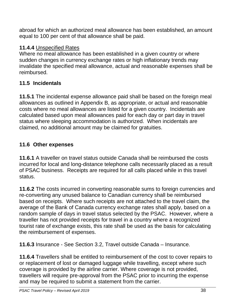abroad for which an authorized meal allowance has been established, an amount equal to 100 per cent of that allowance shall be paid.

#### **11.4.4** Unspecified Rates

Where no meal allowance has been established in a given country or where sudden changes in currency exchange rates or high inflationary trends may invalidate the specified meal allowance, actual and reasonable expenses shall be reimbursed.

#### <span id="page-37-0"></span>**11.5 Incidentals**

**11.5.1** The incidental expense allowance paid shall be based on the foreign meal allowances as outlined in Appendix B, as appropriate, or actual and reasonable costs where no meal allowances are listed for a given country. Incidentals are calculated based upon meal allowances paid for each day or part day in travel status where sleeping accommodation is authorized. When incidentals are claimed, no additional amount may be claimed for gratuities.

#### <span id="page-37-1"></span>**11.6 Other expenses**

**11.6.1** A traveller on travel status outside Canada shall be reimbursed the costs incurred for local and long-distance telephone calls necessarily placed as a result of PSAC business. Receipts are required for all calls placed while in this travel status.

**11.6.2** The costs incurred in converting reasonable sums to foreign currencies and re-converting any unused balance to Canadian currency shall be reimbursed based on receipts. Where such receipts are not attached to the travel claim, the average of the Bank of Canada currency exchange rates shall apply, based on a random sample of days in travel status selected by the PSAC. However, where a traveller has not provided receipts for travel in a country where a recognized tourist rate of exchange exists, this rate shall be used as the basis for calculating the reimbursement of expenses.

**11.6.3** Insurance - See Section 3.2, Travel outside Canada – Insurance.

**11.6.4** Travellers shall be entitled to reimbursement of the cost to cover repairs to or replacement of lost or damaged luggage while travelling, except where such coverage is provided by the airline carrier. Where coverage is not provided, travellers will require pre-approval from the PSAC prior to incurring the expense and may be required to submit a statement from the carrier.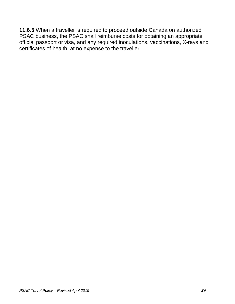**11.6.5** When a traveller is required to proceed outside Canada on authorized PSAC business, the PSAC shall reimburse costs for obtaining an appropriate official passport or visa, and any required inoculations, vaccinations, X-rays and certificates of health, at no expense to the traveller.